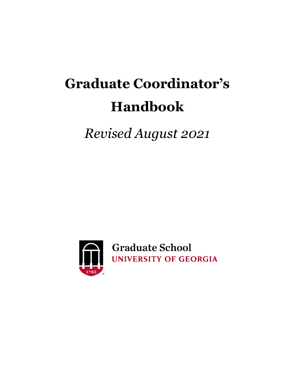# **Graduate Coordinator's Handbook**

*Revised August 2021*



**Graduate School** UNIVERSITY OF GEORGIA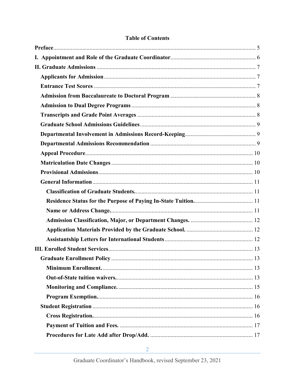# **Table of Contents**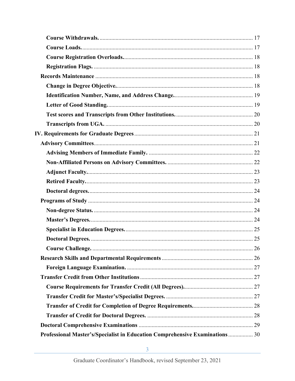| <b>Course Challenge.</b>                                                     |  |
|------------------------------------------------------------------------------|--|
|                                                                              |  |
|                                                                              |  |
|                                                                              |  |
|                                                                              |  |
|                                                                              |  |
|                                                                              |  |
|                                                                              |  |
|                                                                              |  |
| Professional Master's/Specialist in Education Comprehensive Examinations  30 |  |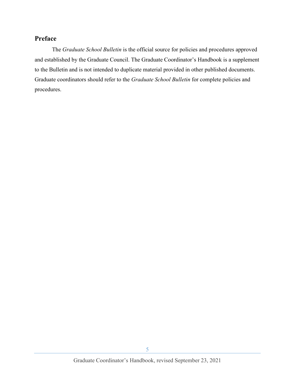# <span id="page-4-0"></span>**Preface**

The *Graduate School Bulletin* is the official source for policies and procedures approved and established by the Graduate Council. The Graduate Coordinator's Handbook is a supplement to the Bulletin and is not intended to duplicate material provided in other published documents. Graduate coordinators should refer to the *Graduate School Bulletin* for complete policies and procedures.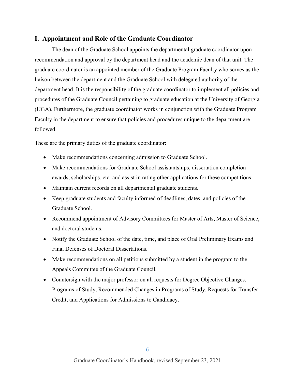# <span id="page-5-0"></span>**I. Appointment and Role of the Graduate Coordinator**

The dean of the Graduate School appoints the departmental graduate coordinator upon recommendation and approval by the department head and the academic dean of that unit. The graduate coordinator is an appointed member of the Graduate Program Faculty who serves as the liaison between the department and the Graduate School with delegated authority of the department head. It is the responsibility of the graduate coordinator to implement all policies and procedures of the Graduate Council pertaining to graduate education at the University of Georgia (UGA). Furthermore, the graduate coordinator works in conjunction with the Graduate Program Faculty in the department to ensure that policies and procedures unique to the department are followed.

These are the primary duties of the graduate coordinator:

- Make recommendations concerning admission to Graduate School.
- Make recommendations for Graduate School assistantships, dissertation completion awards, scholarships, etc. and assist in rating other applications for these competitions.
- Maintain current records on all departmental graduate students.
- Keep graduate students and faculty informed of deadlines, dates, and policies of the Graduate School.
- Recommend appointment of Advisory Committees for Master of Arts, Master of Science, and doctoral students.
- Notify the Graduate School of the date, time, and place of Oral Preliminary Exams and Final Defenses of Doctoral Dissertations.
- Make recommendations on all petitions submitted by a student in the program to the Appeals Committee of the Graduate Council.
- Countersign with the major professor on all requests for Degree Objective Changes, Programs of Study, Recommended Changes in Programs of Study, Requests for Transfer Credit, and Applications for Admissions to Candidacy.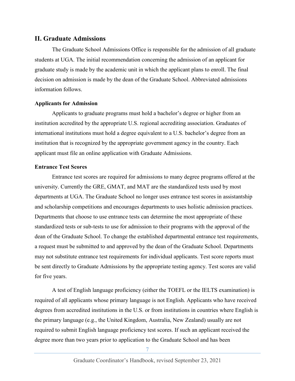## <span id="page-6-0"></span>**II. Graduate Admissions**

The Graduate School Admissions Office is responsible for the admission of all graduate students at UGA. The initial recommendation concerning the admission of an applicant for graduate study is made by the academic unit in which the applicant plans to enroll. The final decision on admission is made by the dean of the Graduate School. Abbreviated admissions information follows.

#### <span id="page-6-1"></span>**Applicants for Admission**

Applicants to graduate programs must hold a bachelor's degree or higher from an institution accredited by the appropriate U.S. regional accrediting association. Graduates of international institutions must hold a degree equivalent to a U.S. bachelor's degree from an institution that is recognized by the appropriate government agency in the country. Each applicant must file an online application with Graduate Admissions.

#### <span id="page-6-2"></span>**Entrance Test Scores**

Entrance test scores are required for admissions to many degree programs offered at the university. Currently the GRE, GMAT, and MAT are the standardized tests used by most departments at UGA. The Graduate School no longer uses entrance test scores in assistantship and scholarship competitions and encourages departments to uses holistic admission practices. Departments that choose to use entrance tests can determine the most appropriate of these standardized tests or sub-tests to use for admission to their programs with the approval of the dean of the Graduate School. To change the established departmental entrance test requirements, a request must be submitted to and approved by the dean of the Graduate School. Departments may not substitute entrance test requirements for individual applicants. Test score reports must be sent directly to Graduate Admissions by the appropriate testing agency. Test scores are valid for five years.

A test of English language proficiency (either the TOEFL or the IELTS examination) is required of all applicants whose primary language is not English. Applicants who have received degrees from accredited institutions in the U.S. or from institutions in countries where English is the primary language (e.g., the United Kingdom, Australia, New Zealand) usually are not required to submit English language proficiency test scores. If such an applicant received the degree more than two years prior to application to the Graduate School and has been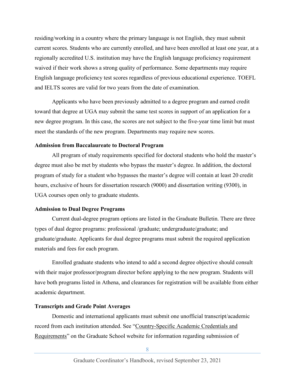residing/working in a country where the primary language is not English, they must submit current scores. Students who are currently enrolled, and have been enrolled at least one year, at a regionally accredited U.S. institution may have the English language proficiency requirement waived if their work shows a strong quality of performance. Some departments may require English language proficiency test scores regardless of previous educational experience. TOEFL and IELTS scores are valid for two years from the date of examination.

Applicants who have been previously admitted to a degree program and earned credit toward that degree at UGA may submit the same test scores in support of an application for a new degree program. In this case, the scores are not subject to the five-year time limit but must meet the standards of the new program. Departments may require new scores.

#### <span id="page-7-0"></span>**Admission from Baccalaureate to Doctoral Program**

All program of study requirements specified for doctoral students who hold the master's degree must also be met by students who bypass the master's degree. In addition, the doctoral program of study for a student who bypasses the master's degree will contain at least 20 credit hours, exclusive of hours for dissertation research (9000) and dissertation writing (9300), in UGA courses open only to graduate students.

## <span id="page-7-1"></span>**Admission to Dual Degree Programs**

Current dual-degree program options are listed in the Graduate Bulletin. There are three types of dual degree programs: professional /graduate; undergraduate/graduate; and graduate/graduate. Applicants for dual degree programs must submit the required application materials and fees for each program.

Enrolled graduate students who intend to add a second degree objective should consult with their major professor/program director before applying to the new program. Students will have both programs listed in Athena, and clearances for registration will be available from either academic department.

## <span id="page-7-2"></span>**Transcripts and Grade Point Averages**

Domestic and international applicants must submit one unofficial transcript/academic record from each institution attended. See ["Country-Specific Academic Credentials and](http://grad.uga.edu/index.php/prospective-students/international-application-information/international-supplement/country-specific/)  [Requirements"](http://grad.uga.edu/index.php/prospective-students/international-application-information/international-supplement/country-specific/) on the Graduate School website for information regarding submission of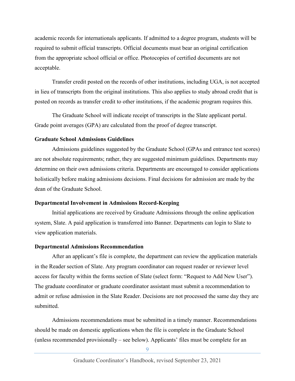academic records for internationals applicants. If admitted to a degree program, students will be required to submit official transcripts. Official documents must bear an original certification from the appropriate school official or office. Photocopies of certified documents are not acceptable.

Transfer credit posted on the records of other institutions, including UGA, is not accepted in lieu of transcripts from the original institutions. This also applies to study abroad credit that is posted on records as transfer credit to other institutions, if the academic program requires this.

The Graduate School will indicate receipt of transcripts in the Slate applicant portal. Grade point averages (GPA) are calculated from the proof of degree transcript.

#### <span id="page-8-0"></span>**Graduate School Admissions Guidelines**

Admissions guidelines suggested by the Graduate School (GPAs and entrance test scores) are not absolute requirements; rather, they are suggested minimum guidelines. Departments may determine on their own admissions criteria. Departments are encouraged to consider applications holistically before making admissions decisions. Final decisions for admission are made by the dean of the Graduate School.

#### <span id="page-8-1"></span>**Departmental Involvement in Admissions Record-Keeping**

Initial applications are received by Graduate Admissions through the online application system, Slate. A paid application is transferred into Banner. Departments can login to Slate to view application materials.

#### <span id="page-8-2"></span>**Departmental Admissions Recommendation**

After an applicant's file is complete, the department can review the application materials in the Reader section of Slate. Any program coordinator can request reader or reviewer level access for faculty within the forms section of Slate (select form: "Request to Add New User"). The graduate coordinator or graduate coordinator assistant must submit a recommendation to admit or refuse admission in the Slate Reader. Decisions are not processed the same day they are submitted.

Admissions recommendations must be submitted in a timely manner. Recommendations should be made on domestic applications when the file is complete in the Graduate School (unless recommended provisionally – see below). Applicants' files must be complete for an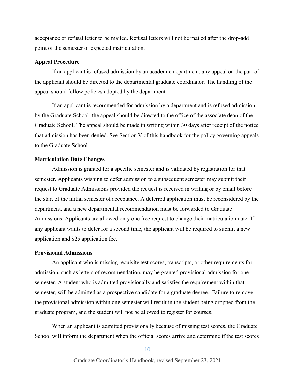acceptance or refusal letter to be mailed. Refusal letters will not be mailed after the drop-add point of the semester of expected matriculation.

#### <span id="page-9-0"></span>**Appeal Procedure**

If an applicant is refused admission by an academic department, any appeal on the part of the applicant should be directed to the departmental graduate coordinator. The handling of the appeal should follow policies adopted by the department.

If an applicant is recommended for admission by a department and is refused admission by the Graduate School, the appeal should be directed to the office of the associate dean of the Graduate School. The appeal should be made in writing within 30 days after receipt of the notice that admission has been denied. See Section V of this handbook for the policy governing appeals to the Graduate School.

#### <span id="page-9-1"></span>**Matriculation Date Changes**

Admission is granted for a specific semester and is validated by registration for that semester. Applicants wishing to defer admission to a subsequent semester may submit their request to Graduate Admissions provided the request is received in writing or by email before the start of the initial semester of acceptance. A deferred application must be reconsidered by the department, and a new departmental recommendation must be forwarded to Graduate Admissions. Applicants are allowed only one free request to change their matriculation date. If any applicant wants to defer for a second time, the applicant will be required to submit a new application and \$25 application fee.

#### <span id="page-9-2"></span>**Provisional Admissions**

An applicant who is missing requisite test scores, transcripts, or other requirements for admission, such as letters of recommendation, may be granted provisional admission for one semester. A student who is admitted provisionally and satisfies the requirement within that semester, will be admitted as a prospective candidate for a graduate degree. Failure to remove the provisional admission within one semester will result in the student being dropped from the graduate program, and the student will not be allowed to register for courses.

When an applicant is admitted provisionally because of missing test scores, the Graduate School will inform the department when the official scores arrive and determine if the test scores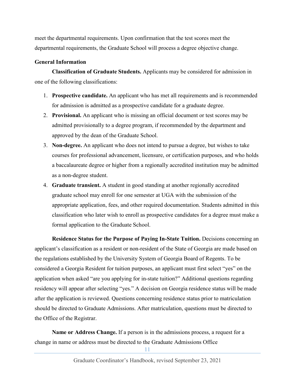meet the departmental requirements. Upon confirmation that the test scores meet the departmental requirements, the Graduate School will process a degree objective change.

## <span id="page-10-0"></span>**General Information**

<span id="page-10-1"></span>**Classification of Graduate Students.** Applicants may be considered for admission in one of the following classifications:

- 1. **Prospective candidate.** An applicant who has met all requirements and is recommended for admission is admitted as a prospective candidate for a graduate degree.
- 2. **Provisional.** An applicant who is missing an official document or test scores may be admitted provisionally to a degree program, if recommended by the department and approved by the dean of the Graduate School.
- 3. **Non-degree.** An applicant who does not intend to pursue a degree, but wishes to take courses for professional advancement, licensure, or certification purposes, and who holds a baccalaureate degree or higher from a regionally accredited institution may be admitted as a non-degree student.
- 4. **Graduate transient.** A student in good standing at another regionally accredited graduate school may enroll for one semester at UGA with the submission of the appropriate application, fees, and other required documentation. Students admitted in this classification who later wish to enroll as prospective candidates for a degree must make a formal application to the Graduate School.

<span id="page-10-2"></span>**Residence Status for the Purpose of Paying In-State Tuition.** Decisions concerning an applicant's classification as a resident or non-resident of the State of Georgia are made based on the regulations established by the University System of Georgia Board of Regents. To be considered a Georgia Resident for tuition purposes, an applicant must first select "yes" on the application when asked "are you applying for in-state tuition?" Additional questions regarding residency will appear after selecting "yes." A decision on Georgia residence status will be made after the application is reviewed. Questions concerning residence status prior to matriculation should be directed to Graduate Admissions. After matriculation, questions must be directed to the Office of the Registrar.

<span id="page-10-3"></span>**Name or Address Change.** If a person is in the admissions process, a request for a change in name or address must be directed to the Graduate Admissions Office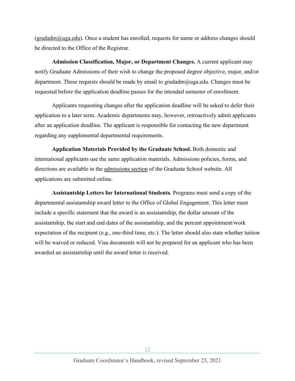$(\text{gradadm@uga.edu)}$ . Once a student has enrolled, requests for name or address changes should be directed to the Office of the Registrar.

<span id="page-11-0"></span>**Admission Classification, Major, or Department Changes.** A current applicant may notify Graduate Admissions of their wish to change the proposed degree objective, major, and/or department. These requests should be made by email to gradadm@uga.edu. Changes must be requested before the application deadline passes for the intended semester of enrollment.

Applicants requesting changes after the application deadline will be asked to defer their application to a later term. Academic departments may, however, retroactively admit applicants after an application deadline. The applicant is responsible for contacting the new department regarding any supplemental departmental requirements.

<span id="page-11-1"></span>**Application Materials Provided by the Graduate School.** Both domestic and international applicants use the same application materials. Admissions policies, forms, and directions are available in the [admissions section](http://grad.uga.edu/index.php/prospective-students/domestic-application-information/requirements/) of the Graduate School website. All applications are submitted online.

<span id="page-11-2"></span>**Assistantship Letters for International Students***.* Programs must send a copy of the departmental assistantship award letter to the Office of Global Engagement. This letter must include a specific statement that the award is an assistantship, the dollar amount of the assistantship, the start and end dates of the assistantship, and the percent appointment/work expectation of the recipient (e.g., one-third time, etc.). The letter should also state whether tuition will be waived or reduced. Visa documents will not be prepared for an applicant who has been awarded an assistantship until the award letter is received.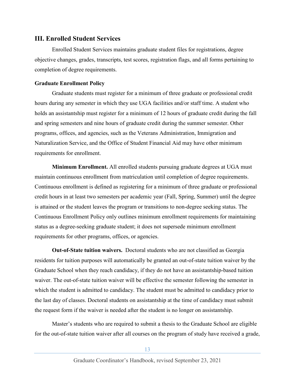## <span id="page-12-0"></span>**III. Enrolled Student Services**

Enrolled Student Services maintains graduate student files for registrations, degree objective changes, grades, transcripts, test scores, registration flags, and all forms pertaining to completion of degree requirements.

## <span id="page-12-1"></span>**Graduate Enrollment Policy**

Graduate students must register for a minimum of three graduate or professional credit hours during any semester in which they use UGA facilities and/or staff time. A student who holds an assistantship must register for a minimum of 12 hours of graduate credit during the fall and spring semesters and nine hours of graduate credit during the summer semester. Other programs, offices, and agencies, such as the Veterans Administration, Immigration and Naturalization Service, and the Office of Student Financial Aid may have other minimum requirements for enrollment.

<span id="page-12-2"></span>**Minimum Enrollment.** All enrolled students pursuing graduate degrees at UGA must maintain continuous enrollment from matriculation until completion of degree requirements. Continuous enrollment is defined as registering for a minimum of three graduate or professional credit hours in at least two semesters per academic year (Fall, Spring, Summer) until the degree is attained or the student leaves the program or transitions to non-degree seeking status. The Continuous Enrollment Policy only outlines minimum enrollment requirements for maintaining status as a degree-seeking graduate student; it does not supersede minimum enrollment requirements for other programs, offices, or agencies.

<span id="page-12-3"></span>**Out-of-State tuition waivers.** Doctoral students who are not classified as Georgia residents for tuition purposes will automatically be granted an out-of-state tuition waiver by the Graduate School when they reach candidacy, if they do not have an assistantship-based tuition waiver. The out-of-state tuition waiver will be effective the semester following the semester in which the student is admitted to candidacy. The student must be admitted to candidacy prior to the last day of classes. Doctoral students on assistantship at the time of candidacy must submit the request form if the waiver is needed after the student is no longer on assistantship.

Master's students who are required to submit a thesis to the Graduate School are eligible for the out-of-state tuition waiver after all courses on the program of study have received a grade,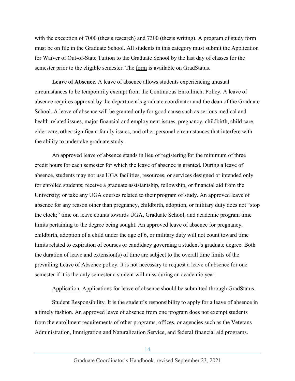with the exception of 7000 (thesis research) and 7300 (thesis writing). A program of study form must be on file in the Graduate School. All students in this category must submit the Application for Waiver of Out-of-State Tuition to the Graduate School by the last day of classes for the semester prior to the eligible semester. The [form](https://gradstatus.uga.edu/Forms/G132) is available on GradStatus.

**Leave of Absence.** A leave of absence allows students experiencing unusual circumstances to be temporarily exempt from the Continuous Enrollment Policy. A leave of absence requires approval by the department's graduate coordinator and the dean of the Graduate School. A leave of absence will be granted only for good cause such as serious medical and health-related issues, major financial and employment issues, pregnancy, childbirth, child care, elder care, other significant family issues, and other personal circumstances that interfere with the ability to undertake graduate study.

An approved leave of absence stands in lieu of registering for the minimum of three credit hours for each semester for which the leave of absence is granted. During a leave of absence, students may not use UGA facilities, resources, or services designed or intended only for enrolled students; receive a graduate assistantship, fellowship, or financial aid from the University; or take any UGA courses related to their program of study. An approved leave of absence for any reason other than pregnancy, childbirth, adoption, or military duty does not "stop the clock;" time on leave counts towards UGA, Graduate School, and academic program time limits pertaining to the degree being sought. An approved leave of absence for pregnancy, childbirth, adoption of a child under the age of 6, or military duty will not count toward time limits related to expiration of courses or candidacy governing a student's graduate degree. Both the duration of leave and extension(s) of time are subject to the overall time limits of the prevailing Leave of Absence policy. It is not necessary to request a leave of absence for one semester if it is the only semester a student will miss during an academic year.

Application. Applications for leave of absence should be submitted through GradStatus.

Student Responsibility. It is the student's responsibility to apply for a leave of absence in a timely fashion. An approved leave of absence from one program does not exempt students from the enrollment requirements of other programs, offices, or agencies such as the Veterans Administration, Immigration and Naturalization Service, and federal financial aid programs.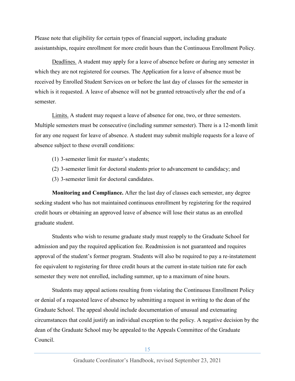Please note that eligibility for certain types of financial support, including graduate assistantships, require enrollment for more credit hours than the Continuous Enrollment Policy.

Deadlines. A student may apply for a leave of absence before or during any semester in which they are not registered for courses. The Application for a leave of absence must be received by Enrolled Student Services on or before the last day of classes for the semester in which is it requested. A leave of absence will not be granted retroactively after the end of a semester.

Limits. A student may request a leave of absence for one, two, or three semesters. Multiple semesters must be consecutive (including summer semester). There is a 12-month limit for any one request for leave of absence. A student may submit multiple requests for a leave of absence subject to these overall conditions:

- (1) 3-semester limit for master's students;
- (2) 3-semester limit for doctoral students prior to advancement to candidacy; and
- (3) 3-semester limit for doctoral candidates.

<span id="page-14-0"></span>**Monitoring and Compliance.** After the last day of classes each semester, any degree seeking student who has not maintained continuous enrollment by registering for the required credit hours or obtaining an approved leave of absence will lose their status as an enrolled graduate student.

Students who wish to resume graduate study must reapply to the Graduate School for admission and pay the required application fee. Readmission is not guaranteed and requires approval of the student's former program. Students will also be required to pay a re-instatement fee equivalent to registering for three credit hours at the current in-state tuition rate for each semester they were not enrolled, including summer, up to a maximum of nine hours.

Students may appeal actions resulting from violating the Continuous Enrollment Policy or denial of a requested leave of absence by submitting a request in writing to the dean of the Graduate School. The appeal should include documentation of unusual and extenuating circumstances that could justify an individual exception to the policy. A negative decision by the dean of the Graduate School may be appealed to the Appeals Committee of the Graduate Council.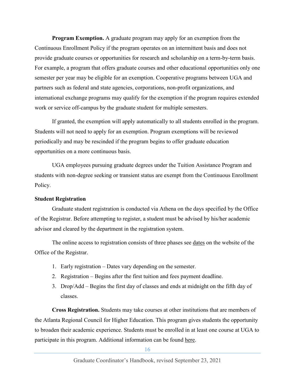<span id="page-15-0"></span>**Program Exemption.** A graduate program may apply for an exemption from the Continuous Enrollment Policy if the program operates on an intermittent basis and does not provide graduate courses or opportunities for research and scholarship on a term-by-term basis. For example, a program that offers graduate courses and other educational opportunities only one semester per year may be eligible for an exemption. Cooperative programs between UGA and partners such as federal and state agencies, corporations, non-profit organizations, and international exchange programs may qualify for the exemption if the program requires extended work or service off-campus by the graduate student for multiple semesters.

If granted, the exemption will apply automatically to all students enrolled in the program. Students will not need to apply for an exemption. Program exemptions will be reviewed periodically and may be rescinded if the program begins to offer graduate education opportunities on a more continuous basis.

UGA employees pursuing graduate degrees under the Tuition Assistance Program and students with non-degree seeking or transient status are exempt from the Continuous Enrollment Policy.

## <span id="page-15-1"></span>**Student Registration**

Graduate student registration is conducted via Athena on the days specified by the Office of the Registrar. Before attempting to register, a student must be advised by his/her academic advisor and cleared by the department in the registration system.

The online access to registration consists of three phases see [dates](https://reg.uga.edu/general-information/calendars/registration-dates/) on the website of the Office of the Registrar.

- 1. Early registration Dates vary depending on the semester.
- 2. Registration Begins after the first tuition and fees payment deadline.
- 3. Drop/Add Begins the first day of classes and ends at midnight on the fifth day of classes.

<span id="page-15-2"></span>**Cross Registration.** Students may take courses at other institutions that are members of the Atlanta Regional Council for Higher Education. This program gives students the opportunity to broaden their academic experience. Students must be enrolled in at least one course at UGA to participate in this program. Additional information can be found [here.](https://reg.uga.edu/enrollment-and-registration/registration/arche/)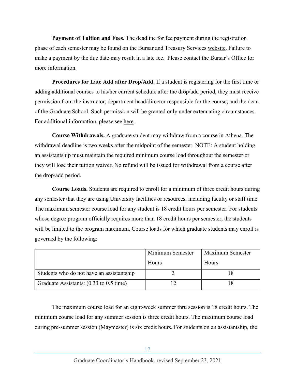<span id="page-16-0"></span>**Payment of Tuition and Fees.** The deadline for fee payment during the registration phase of each semester may be found on the Bursar and Treasury Services [website.](http://busfin.uga.edu/bursar/) Failure to make a payment by the due date may result in a late fee. Please contact the Bursar's Office for more information.

<span id="page-16-1"></span>**Procedures for Late Add after Drop/Add.** If a student is registering for the first time or adding additional courses to his/her current schedule after the drop/add period, they must receive permission from the instructor, department head/director responsible for the course, and the dean of the Graduate School. Such permission will be granted only under extenuating circumstances. For additional information, please see [here.](https://reg.uga.edu/student-forms/late-add-form/)

<span id="page-16-2"></span>**Course Withdrawals.** A graduate student may withdraw from a course in Athena. The withdrawal deadline is two weeks after the midpoint of the semester. NOTE: A student holding an assistantship must maintain the required minimum course load throughout the semester or they will lose their tuition waiver. No refund will be issued for withdrawal from a course after the drop/add period.

<span id="page-16-3"></span>**Course Loads.** Students are required to enroll for a minimum of three credit hours during any semester that they are using University facilities or resources, including faculty or staff time. The maximum semester course load for any student is 18 credit hours per semester. For students whose degree program officially requires more than 18 credit hours per semester, the students will be limited to the program maximum. Course loads for which graduate students may enroll is governed by the following:

|                                           | Minimum Semester | Maximum Semester |  |
|-------------------------------------------|------------------|------------------|--|
|                                           | Hours            | <b>Hours</b>     |  |
| Students who do not have an assistantship |                  |                  |  |
| Graduate Assistants: (0.33 to 0.5 time)   |                  |                  |  |

The maximum course load for an eight-week summer thru session is 18 credit hours. The minimum course load for any summer session is three credit hours. The maximum course load during pre-summer session (Maymester) is six credit hours. For students on an assistantship, the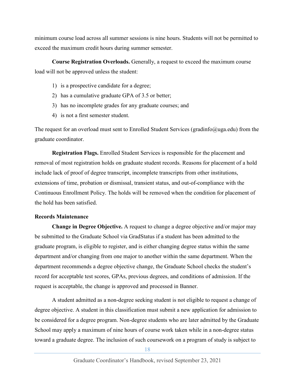minimum course load across all summer sessions is nine hours. Students will not be permitted to exceed the maximum credit hours during summer semester.

<span id="page-17-0"></span>**Course Registration Overloads.** Generally, a request to exceed the maximum course load will not be approved unless the student:

- 1) is a prospective candidate for a degree;
- 2) has a cumulative graduate GPA of 3.5 or better;
- 3) has no incomplete grades for any graduate courses; and
- 4) is not a first semester student.

The request for an overload must sent to Enrolled Student Services (gradinfo@uga.edu) from the graduate coordinator.

<span id="page-17-1"></span>**Registration Flags.** Enrolled Student Services is responsible for the placement and removal of most registration holds on graduate student records. Reasons for placement of a hold include lack of proof of degree transcript, incomplete transcripts from other institutions, extensions of time, probation or dismissal, transient status, and out-of-compliance with the Continuous Enrollment Policy. The holds will be removed when the condition for placement of the hold has been satisfied.

## <span id="page-17-2"></span>**Records Maintenance**

<span id="page-17-3"></span>**Change in Degree Objective.** A request to change a degree objective and/or major may be submitted to the Graduate School via GradStatus if a student has been admitted to the graduate program, is eligible to register, and is either changing degree status within the same department and/or changing from one major to another within the same department. When the department recommends a degree objective change, the Graduate School checks the student's record for acceptable test scores, GPAs, previous degrees, and conditions of admission. If the request is acceptable, the change is approved and processed in Banner.

A student admitted as a non-degree seeking student is not eligible to request a change of degree objective. A student in this classification must submit a new application for admission to be considered for a degree program. Non-degree students who are later admitted by the Graduate School may apply a maximum of nine hours of course work taken while in a non-degree status toward a graduate degree. The inclusion of such coursework on a program of study is subject to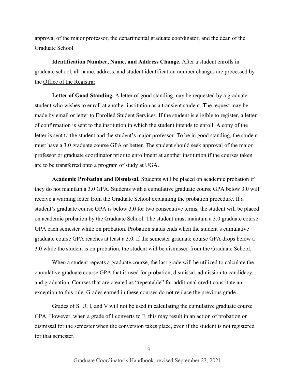approval of the major professor, the departmental graduate coordinator, and the dean of the Graduate School.

<span id="page-18-0"></span>**Identification Number, Name, and Address Change.** After a student enrolls in graduate school, all name, address, and student identification number changes are processed by the [Office of the Registrar.](https://reg.uga.edu/)

<span id="page-18-1"></span>**Letter of Good Standing.** A letter of good standing may be requested by a graduate student who wishes to enroll at another institution as a transient student. The request may be made by email or letter to Enrolled Student Services. If the student is eligible to register, a letter of confirmation is sent to the institution in which the student intends to enroll. A copy of the letter is sent to the student and the student's major professor. To be in good standing, the student must have a 3.0 graduate course GPA or better. The student should seek approval of the major professor or graduate coordinator prior to enrollment at another institution if the courses taken are to be transferred onto a program of study at UGA.

**Academic Probation and Dismissal.** Students will be placed on academic probation if they do not maintain a 3.0 GPA. Students with a cumulative graduate course GPA below 3.0 will receive a warning letter from the Graduate School explaining the probation procedure. If a student's graduate course GPA is below 3.0 for two consecutive terms, the student will be placed on academic probation by the Graduate School. The student must maintain a 3.0 graduate course GPA each semester while on probation. Probation status ends when the student's cumulative graduate course GPA reaches at least a 3.0. If the semester graduate course GPA drops below a 3.0 while the student is on probation, the student will be dismissed from the Graduate School.

When a student repeats a graduate course, the last grade will be utilized to calculate the cumulative graduate course GPA that is used for probation, dismissal, admission to candidacy, and graduation. Courses that are created as "repeatable" for additional credit constitute an exception to this rule. Grades earned in these courses do not replace the previous grade.

Grades of S, U, I, and V will not be used in calculating the cumulative graduate course GPA. However, when a grade of I converts to F, this may result in an action of probation or dismissal for the semester when the conversion takes place, even if the student is not registered for that semester.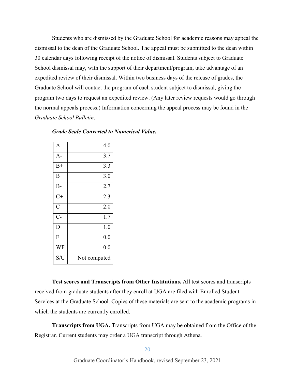Students who are dismissed by the Graduate School for academic reasons may appeal the dismissal to the dean of the Graduate School. The appeal must be submitted to the dean within 30 calendar days following receipt of the notice of dismissal. Students subject to Graduate School dismissal may, with the support of their department/program, take advantage of an expedited review of their dismissal. Within two business days of the release of grades, the Graduate School will contact the program of each student subject to dismissal, giving the program two days to request an expedited review. (Any later review requests would go through the normal appeals process.) Information concerning the appeal process may be found in the *Graduate School Bulletin*.

| A              | 4.0              |
|----------------|------------------|
| $A-$           | 3.7              |
| $B+$           | 3.3              |
| B              | 3.0              |
| $B -$          | 2.7              |
| $C+$           | 2.3              |
| $\overline{C}$ | 2.0              |
| $C-$           | $1.\overline{7}$ |
| D              | 1.0              |
| F              | 0.0              |
| WF             | 0.0              |
| S/U            | Not computed     |

*Grade Scale Converted to Numerical Value.*

<span id="page-19-0"></span>**Test scores and Transcripts from Other Institutions.** All test scores and transcripts received from graduate students after they enroll at UGA are filed with Enrolled Student Services at the Graduate School. Copies of these materials are sent to the academic programs in which the students are currently enrolled.

<span id="page-19-1"></span>**Transcripts from UGA.** Transcripts from UGA may be obtained from the Office of the [Registrar.](https://reg.uga.edu/) Current students may order a UGA transcript through Athena.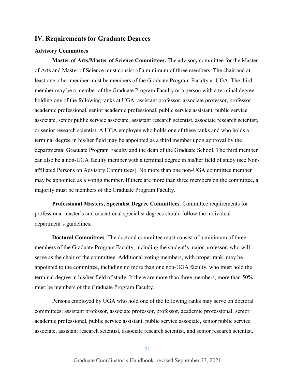# <span id="page-20-0"></span>**IV. Requirements for Graduate Degrees**

## <span id="page-20-1"></span>**Advisory Committees**

**Master of Arts/Master of Science Committees.** The advisory committee for the Master of Arts and Master of Science must consist of a minimum of three members. The chair and at least one other member must be members of the Graduate Program Faculty at UGA. The third member may be a member of the Graduate Program Faculty or a person with a terminal degree holding one of the following ranks at UGA: assistant professor, associate professor, professor, academic professional, senior academic professional, public service assistant, public service associate, senior public service associate, assistant research scientist, associate research scientist, or senior research scientist. A UGA employee who holds one of these ranks and who holds a terminal degree in his/her field may be appointed as a third member upon approval by the departmental Graduate Program Faculty and the dean of the Graduate School. The third member can also be a non-UGA faculty member with a terminal degree in his/her field of study (see Nonaffiliated Persons on Advisory Committees). No more than one non-UGA committee member may be appointed as a voting member. If there are more than three members on the committee, a majority must be members of the Graduate Program Faculty.

**Professional Masters, Specialist Degree Committees**. Committee requirements for professional master's and educational specialist degrees should follow the individual department's guidelines.

**Doctoral Committees**. The doctoral committee must consist of a minimum of three members of the Graduate Program Faculty, including the student's major professor, who will serve as the chair of the committee. Additional voting members, with proper rank, may be appointed to the committee, including no more than one non-UGA faculty, who must hold the terminal degree in his/her field of study. If there are more than three members, more than 50% must be members of the Graduate Program Faculty.

Persons employed by UGA who hold one of the following ranks may serve on doctoral committees: assistant professor, associate professor, professor, academic professional, senior academic professional, public service assistant, public service associate, senior public service associate, assistant research scientist, associate research scientist, and senior research scientist.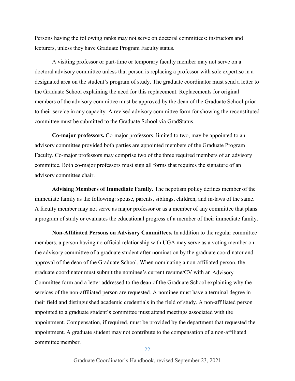Persons having the following ranks may not serve on doctoral committees: instructors and lecturers, unless they have Graduate Program Faculty status.

A visiting professor or part-time or temporary faculty member may not serve on a doctoral advisory committee unless that person is replacing a professor with sole expertise in a designated area on the student's program of study. The graduate coordinator must send a letter to the Graduate School explaining the need for this replacement. Replacements for original members of the advisory committee must be approved by the dean of the Graduate School prior to their service in any capacity. A revised advisory committee form for showing the reconstituted committee must be submitted to the Graduate School via GradStatus.

**Co-major professors.** Co-major professors, limited to two, may be appointed to an advisory committee provided both parties are appointed members of the Graduate Program Faculty. Co-major professors may comprise two of the three required members of an advisory committee. Both co-major professors must sign all forms that requires the signature of an advisory committee chair.

<span id="page-21-0"></span>**Advising Members of Immediate Family.** The nepotism policy defines member of the immediate family as the following: spouse, parents, siblings, children, and in-laws of the same. A faculty member may not serve as major professor or as a member of any committee that plans a program of study or evaluates the educational progress of a member of their immediate family.

<span id="page-21-1"></span>**Non-Affiliated Persons on Advisory Committees.** In addition to the regular committee members, a person having no official relationship with UGA may serve as a voting member on the advisory committee of a graduate student after nomination by the graduate coordinator and approval of the dean of the Graduate School. When nominating a non-affiliated person, the graduate coordinator must submit the nominee's current resume/CV with an [Advisory](https://gradstatus.uga.edu/Forms/G130)  [Committee form](https://gradstatus.uga.edu/Forms/G130) and a letter addressed to the dean of the Graduate School explaining why the services of the non-affiliated person are requested. A nominee must have a terminal degree in their field and distinguished academic credentials in the field of study. A non-affiliated person appointed to a graduate student's committee must attend meetings associated with the appointment. Compensation, if required, must be provided by the department that requested the appointment. A graduate student may not contribute to the compensation of a non-affiliated committee member.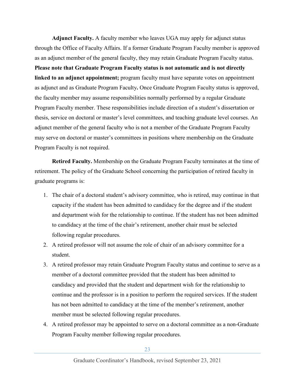<span id="page-22-0"></span>**Adjunct Faculty.** A faculty member who leaves UGA may apply for adjunct status through the Office of Faculty Affairs. If a former Graduate Program Faculty member is approved as an adjunct member of the general faculty, they may retain Graduate Program Faculty status. **Please note that Graduate Program Faculty status is not automatic and is not directly linked to an adjunct appointment;** program faculty must have separate votes on appointment as adjunct and as Graduate Program Faculty**.** Once Graduate Program Faculty status is approved, the faculty member may assume responsibilities normally performed by a regular Graduate Program Faculty member. These responsibilities include direction of a student's dissertation or thesis, service on doctoral or master's level committees, and teaching graduate level courses. An adjunct member of the general faculty who is not a member of the Graduate Program Faculty may serve on doctoral or master's committees in positions where membership on the Graduate Program Faculty is not required.

<span id="page-22-1"></span>**Retired Faculty.** Membership on the Graduate Program Faculty terminates at the time of retirement. The policy of the Graduate School concerning the participation of retired faculty in graduate programs is:

- 1. The chair of a doctoral student's advisory committee, who is retired, may continue in that capacity if the student has been admitted to candidacy for the degree and if the student and department wish for the relationship to continue. If the student has not been admitted to candidacy at the time of the chair's retirement, another chair must be selected following regular procedures.
- 2. A retired professor will not assume the role of chair of an advisory committee for a student.
- 3. A retired professor may retain Graduate Program Faculty status and continue to serve as a member of a doctoral committee provided that the student has been admitted to candidacy and provided that the student and department wish for the relationship to continue and the professor is in a position to perform the required services. If the student has not been admitted to candidacy at the time of the member's retirement, another member must be selected following regular procedures.
- 4. A retired professor may be appointed to serve on a doctoral committee as a non-Graduate Program Faculty member following regular procedures.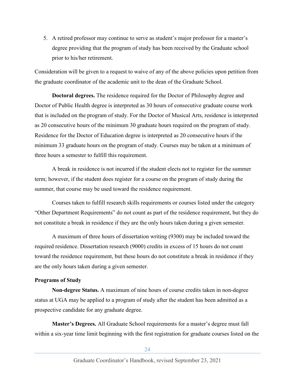5. A retired professor may continue to serve as student's major professor for a master's degree providing that the program of study has been received by the Graduate school prior to his/her retirement.

Consideration will be given to a request to waive of any of the above policies upon petition from the graduate coordinator of the academic unit to the dean of the Graduate School.

<span id="page-23-0"></span>**Doctoral degrees.** The residence required for the Doctor of Philosophy degree and Doctor of Public Health degree is interpreted as 30 hours of consecutive graduate course work that is included on the program of study. For the Doctor of Musical Arts, residence is interpreted as 20 consecutive hours of the minimum 30 graduate hours required on the program of study. Residence for the Doctor of Education degree is interpreted as 20 consecutive hours if the minimum 33 graduate hours on the program of study. Courses may be taken at a minimum of three hours a semester to fulfill this requirement.

A break in residence is not incurred if the student elects not to register for the summer term; however, if the student does register for a course on the program of study during the summer, that course may be used toward the residence requirement.

Courses taken to fulfill research skills requirements or courses listed under the category "Other Department Requirements" do not count as part of the residence requirement, but they do not constitute a break in residence if they are the only hours taken during a given semester.

A maximum of three hours of dissertation writing (9300) may be included toward the required residence. Dissertation research (9000) credits in excess of 15 hours do not count toward the residence requirement, but these hours do not constitute a break in residence if they are the only hours taken during a given semester.

#### <span id="page-23-1"></span>**Programs of Study**

<span id="page-23-2"></span>**Non-degree Status.** A maximum of nine hours of course credits taken in non-degree status at UGA may be applied to a program of study after the student has been admitted as a prospective candidate for any graduate degree.

<span id="page-23-3"></span>**Master's Degrees.** All Graduate School requirements for a master's degree must fall within a six-year time limit beginning with the first registration for graduate courses listed on the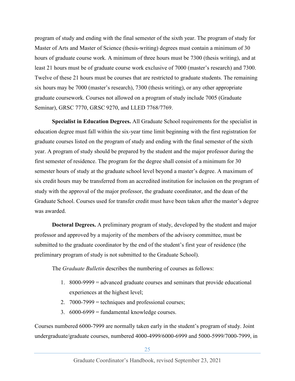program of study and ending with the final semester of the sixth year. The program of study for Master of Arts and Master of Science (thesis-writing) degrees must contain a minimum of 30 hours of graduate course work. A minimum of three hours must be 7300 (thesis writing), and at least 21 hours must be of graduate course work exclusive of 7000 (master's research) and 7300. Twelve of these 21 hours must be courses that are restricted to graduate students. The remaining six hours may be 7000 (master's research), 7300 (thesis writing), or any other appropriate graduate coursework. Courses not allowed on a program of study include 7005 (Graduate Seminar), GRSC 7770, GRSC 9270, and LLED 7768/7769.

<span id="page-24-0"></span>**Specialist in Education Degrees.** All Graduate School requirements for the specialist in education degree must fall within the six-year time limit beginning with the first registration for graduate courses listed on the program of study and ending with the final semester of the sixth year. A program of study should be prepared by the student and the major professor during the first semester of residence. The program for the degree shall consist of a minimum for 30 semester hours of study at the graduate school level beyond a master's degree. A maximum of six credit hours may be transferred from an accredited institution for inclusion on the program of study with the approval of the major professor, the graduate coordinator, and the dean of the Graduate School. Courses used for transfer credit must have been taken after the master's degree was awarded.

<span id="page-24-1"></span>**Doctoral Degrees.** A preliminary program of study, developed by the student and major professor and approved by a majority of the members of the advisory committee, must be submitted to the graduate coordinator by the end of the student's first year of residence (the preliminary program of study is not submitted to the Graduate School).

The *Graduate Bulletin* describes the numbering of courses as follows:

- 1. 8000-9999 = advanced graduate courses and seminars that provide educational experiences at the highest level;
- 2. 7000-7999 = techniques and professional courses;
- 3.  $6000-6999$  = fundamental knowledge courses.

Courses numbered 6000-7999 are normally taken early in the student's program of study. Joint undergraduate/graduate courses, numbered 4000-4999/6000-6999 and 5000-5999/7000-7999, in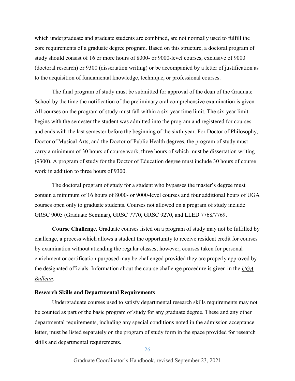which undergraduate and graduate students are combined, are not normally used to fulfill the core requirements of a graduate degree program. Based on this structure, a doctoral program of study should consist of 16 or more hours of 8000- or 9000-level courses, exclusive of 9000 (doctoral research) or 9300 (dissertation writing) or be accompanied by a letter of justification as to the acquisition of fundamental knowledge, technique, or professional courses.

The final program of study must be submitted for approval of the dean of the Graduate School by the time the notification of the preliminary oral comprehensive examination is given. All courses on the program of study must fall within a six-year time limit. The six-year limit begins with the semester the student was admitted into the program and registered for courses and ends with the last semester before the beginning of the sixth year. For Doctor of Philosophy, Doctor of Musical Arts, and the Doctor of Public Health degrees, the program of study must carry a minimum of 30 hours of course work, three hours of which must be dissertation writing (9300). A program of study for the Doctor of Education degree must include 30 hours of course work in addition to three hours of 9300.

The doctoral program of study for a student who bypasses the master's degree must contain a minimum of 16 hours of 8000- or 9000-level courses and four additional hours of UGA courses open only to graduate students. Courses not allowed on a program of study include GRSC 9005 (Graduate Seminar), GRSC 7770, GRSC 9270, and LLED 7768/7769.

<span id="page-25-0"></span>**Course Challenge.** Graduate courses listed on a program of study may not be fulfilled by challenge, a process which allows a student the opportunity to receive resident credit for courses by examination without attending the regular classes; however, courses taken for personal enrichment or certification purposed may be challenged provided they are properly approved by the designated officials. Information about the course challenge procedure is given in the *[UGA](http://www.bulletin.uga.edu/bulletin_files/acad/Courses.html)  [Bulletin](http://www.bulletin.uga.edu/bulletin_files/acad/Courses.html)*.

#### <span id="page-25-1"></span>**Research Skills and Departmental Requirements**

Undergraduate courses used to satisfy departmental research skills requirements may not be counted as part of the basic program of study for any graduate degree. These and any other departmental requirements, including any special conditions noted in the admission acceptance letter, must be listed separately on the program of study form in the space provided for research skills and departmental requirements.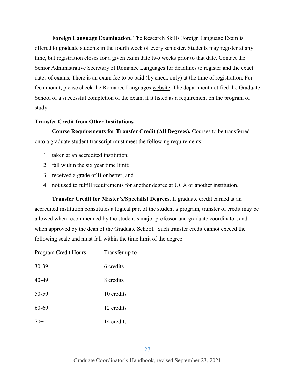<span id="page-26-0"></span>**Foreign Language Examination.** The Research Skills Foreign Language Exam is offered to graduate students in the fourth week of every semester. Students may register at any time, but registration closes for a given exam date two weeks prior to that date. Contact the Senior Administrative Secretary of Romance Languages for deadlines to register and the exact dates of exams. There is an exam fee to be paid (by check only) at the time of registration. For fee amount, please check the Romance Languages [website.](http://www.rom.uga.edu/research-skills-foreign-language-exam) The department notified the Graduate School of a successful completion of the exam, if it listed as a requirement on the program of study.

### <span id="page-26-1"></span>**Transfer Credit from Other Institutions**

<span id="page-26-2"></span>**Course Requirements for Transfer Credit (All Degrees).** Courses to be transferred onto a graduate student transcript must meet the following requirements:

- 1. taken at an accredited institution;
- 2. fall within the six year time limit;
- 3. received a grade of B or better; and
- 4. not used to fulfill requirements for another degree at UGA or another institution.

<span id="page-26-3"></span>**Transfer Credit for Master's/Specialist Degrees.** If graduate credit earned at an accredited institution constitutes a logical part of the student's program, transfer of credit may be allowed when recommended by the student's major professor and graduate coordinator, and when approved by the dean of the Graduate School. Such transfer credit cannot exceed the following scale and must fall within the time limit of the degree:

| Program Credit Hours | Transfer up to |
|----------------------|----------------|
| 30-39                | 6 credits      |
| 40-49                | 8 credits      |
| 50-59                | 10 credits     |
| 60-69                | 12 credits     |
| $70+$                | 14 credits     |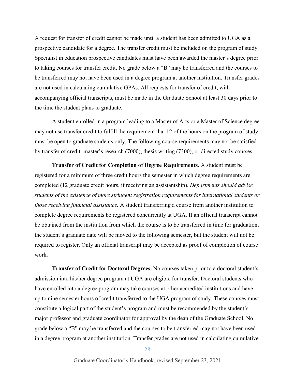A request for transfer of credit cannot be made until a student has been admitted to UGA as a prospective candidate for a degree. The transfer credit must be included on the program of study. Specialist in education prospective candidates must have been awarded the master's degree prior to taking courses for transfer credit. No grade below a "B" may be transferred and the courses to be transferred may not have been used in a degree program at another institution. Transfer grades are not used in calculating cumulative GPAs. All requests for transfer of credit, with accompanying official transcripts, must be made in the Graduate School at least 30 days prior to the time the student plans to graduate.

A student enrolled in a program leading to a Master of Arts or a Master of Science degree may not use transfer credit to fulfill the requirement that 12 of the hours on the program of study must be open to graduate students only. The following course requirements may not be satisfied by transfer of credit: master's research (7000), thesis writing (7300), or directed study courses.

<span id="page-27-0"></span>**Transfer of Credit for Completion of Degree Requirements.** A student must be registered for a minimum of three credit hours the semester in which degree requirements are completed (12 graduate credit hours, if receiving an assistantship). *Departments should advise students of the existence of more stringent registration requirements for international students or those receiving financial assistance.* A student transferring a course from another institution to complete degree requirements be registered concurrently at UGA. If an official transcript cannot be obtained from the institution from which the course is to be transferred in time for graduation, the student's graduate date will be moved to the following semester, but the student will not be required to register. Only an official transcript may be accepted as proof of completion of course work.

<span id="page-27-1"></span>**Transfer of Credit for Doctoral Degrees.** No courses taken prior to a doctoral student's admission into his/her degree program at UGA are eligible for transfer. Doctoral students who have enrolled into a degree program may take courses at other accredited institutions and have up to nine semester hours of credit transferred to the UGA program of study. These courses must constitute a logical part of the student's program and must be recommended by the student's major professor and graduate coordinator for approval by the dean of the Graduate School. No grade below a "B" may be transferred and the courses to be transferred may not have been used in a degree program at another institution. Transfer grades are not used in calculating cumulative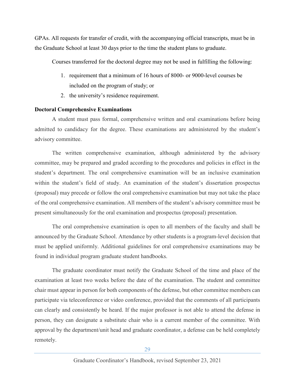GPAs. All requests for transfer of credit, with the accompanying official transcripts, must be in the Graduate School at least 30 days prior to the time the student plans to graduate.

Courses transferred for the doctoral degree may not be used in fulfilling the following:

- 1. requirement that a minimum of 16 hours of 8000- or 9000-level courses be included on the program of study; or
- 2. the university's residence requirement.

## <span id="page-28-0"></span>**Doctoral Comprehensive Examinations**

A student must pass formal, comprehensive written and oral examinations before being admitted to candidacy for the degree. These examinations are administered by the student's advisory committee.

The written comprehensive examination, although administered by the advisory committee, may be prepared and graded according to the procedures and policies in effect in the student's department. The oral comprehensive examination will be an inclusive examination within the student's field of study. An examination of the student's dissertation prospectus (proposal) may precede or follow the oral comprehensive examination but may not take the place of the oral comprehensive examination. All members of the student's advisory committee must be present simultaneously for the oral examination and prospectus (proposal) presentation.

The oral comprehensive examination is open to all members of the faculty and shall be announced by the Graduate School. Attendance by other students is a program-level decision that must be applied uniformly. Additional guidelines for oral comprehensive examinations may be found in individual program graduate student handbooks.

The graduate coordinator must notify the Graduate School of the time and place of the examination at least two weeks before the date of the examination. The student and committee chair must appear in person for both components of the defense, but other committee members can participate via teleconference or video conference, provided that the comments of all participants can clearly and consistently be heard. If the major professor is not able to attend the defense in person, they can designate a substitute chair who is a current member of the committee. With approval by the department/unit head and graduate coordinator, a defense can be held completely remotely.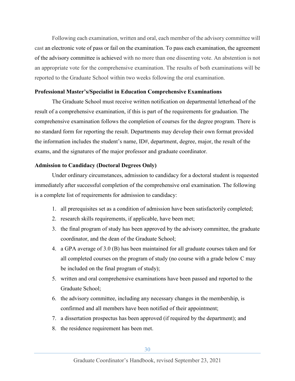Following each examination, written and oral, each member of the advisory committee will cast an electronic vote of pass or fail on the examination. To pass each examination, the agreement of the advisory committee is achieved with no more than one dissenting vote. An abstention is not an appropriate vote for the comprehensive examination. The results of both examinations will be reported to the Graduate School within two weeks following the oral examination.

## <span id="page-29-0"></span>**Professional Master's/Specialist in Education Comprehensive Examinations**

The Graduate School must receive written notification on departmental letterhead of the result of a comprehensive examination, if this is part of the requirements for graduation. The comprehensive examination follows the completion of courses for the degree program. There is no standard form for reporting the result. Departments may develop their own format provided the information includes the student's name, ID#, department, degree, major, the result of the exams, and the signatures of the major professor and graduate coordinator.

### <span id="page-29-1"></span>**Admission to Candidacy (Doctoral Degrees Only)**

Under ordinary circumstances, admission to candidacy for a doctoral student is requested immediately after successful completion of the comprehensive oral examination. The following is a complete list of requirements for admission to candidacy:

- 1. all prerequisites set as a condition of admission have been satisfactorily completed;
- 2. research skills requirements, if applicable, have been met;
- 3. the final program of study has been approved by the advisory committee, the graduate coordinator, and the dean of the Graduate School;
- 4. a GPA average of 3.0 (B) has been maintained for all graduate courses taken and for all completed courses on the program of study (no course with a grade below C may be included on the final program of study);
- 5. written and oral comprehensive examinations have been passed and reported to the Graduate School;
- 6. the advisory committee, including any necessary changes in the membership, is confirmed and all members have been notified of their appointment;
- 7. a dissertation prospectus has been approved (if required by the department); and
- 8. the residence requirement has been met.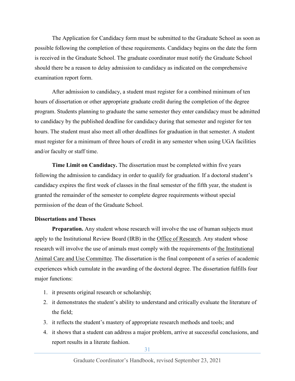The Application for Candidacy form must be submitted to the Graduate School as soon as possible following the completion of these requirements. Candidacy begins on the date the form is received in the Graduate School. The graduate coordinator must notify the Graduate School should there be a reason to delay admission to candidacy as indicated on the comprehensive examination report form.

After admission to candidacy, a student must register for a combined minimum of ten hours of dissertation or other appropriate graduate credit during the completion of the degree program. Students planning to graduate the same semester they enter candidacy must be admitted to candidacy by the published deadline for candidacy during that semester and register for ten hours. The student must also meet all other deadlines for graduation in that semester. A student must register for a minimum of three hours of credit in any semester when using UGA facilities and/or faculty or staff time.

<span id="page-30-0"></span>**Time Limit on Candidacy.** The dissertation must be completed within five years following the admission to candidacy in order to qualify for graduation. If a doctoral student's candidacy expires the first week of classes in the final semester of the fifth year, the student is granted the remainder of the semester to complete degree requirements without special permission of the dean of the Graduate School.

#### <span id="page-30-1"></span>**Dissertations and Theses**

<span id="page-30-2"></span>**Preparation.** Any student whose research will involve the use of human subjects must apply to the Institutional Review Board (IRB) in the [Office of Research.](https://research.uga.edu/hrpp/hso/) Any student whose research will involve the use of animals must comply with the requirements of [the Institutional](https://research.uga.edu/oacu/)  [Animal Care and Use Committee.](https://research.uga.edu/oacu/) The dissertation is the final component of a series of academic experiences which cumulate in the awarding of the doctoral degree. The dissertation fulfills four major functions:

- 1. it presents original research or scholarship;
- 2. it demonstrates the student's ability to understand and critically evaluate the literature of the field;
- 3. it reflects the student's mastery of appropriate research methods and tools; and
- 4. it shows that a student can address a major problem, arrive at successful conclusions, and report results in a literate fashion.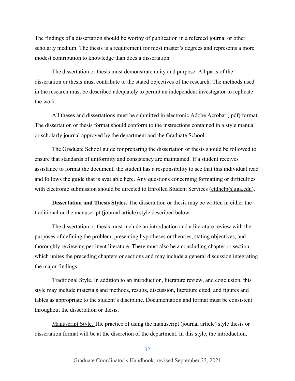The findings of a dissertation should be worthy of publication in a refereed journal or other scholarly medium. The thesis is a requirement for most master's degrees and represents a more modest contribution to knowledge than does a dissertation.

The dissertation or thesis must demonstrate unity and purpose. All parts of the dissertation or thesis must contribute to the stated objectives of the research. The methods used in the research must be described adequately to permit an independent investigator to replicate the work.

All theses and dissertations must be submitted in electronic Adobe Acrobat (.pdf) format. The dissertation or thesis format should conform to the instructions contained in a style manual or scholarly journal approved by the department and the Graduate School.

The Graduate School guide for preparing the dissertation or thesis should be followed to ensure that standards of uniformity and consistency are maintained. If a student receives assistance to format the document, the student has a responsibility to see that this individual read and follows the guide that is available [here.](http://grad.uga.edu/index.php/current-students/policies-procedures/theses-dissertations-guidelines/theses-and-dissertations-overview/) Any questions concerning formatting or difficulties with electronic submission should be directed to Enrolled Student Services [\(etdhelp@uga.edu\)](mailto:etdhelp@uga.edu).

<span id="page-31-0"></span>**Dissertation and Thesis Styles.** The dissertation or thesis may be written in either the traditional or the manuscript (journal article) style described below.

The dissertation or thesis must include an introduction and a literature review with the purposes of defining the problem, presenting hypotheses or theories, stating objectives, and thoroughly reviewing pertinent literature. There must also be a concluding chapter or section which unites the preceding chapters or sections and may include a general discussion integrating the major findings.

Traditional Style. In addition to an introduction, literature review, and conclusion, this style may include materials and methods, results, discussion, literature cited, and figures and tables as appropriate to the student's discipline. Documentation and format must be consistent throughout the dissertation or thesis.

Manuscript Style. The practice of using the manuscript (journal article) style thesis or dissertation format will be at the discretion of the department. In this style, the introduction,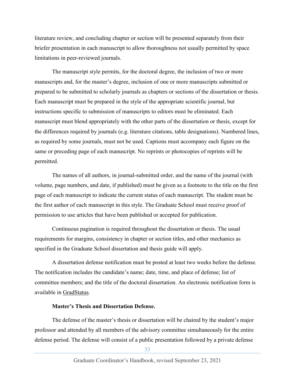literature review, and concluding chapter or section will be presented separately from their briefer presentation in each manuscript to allow thoroughness not usually permitted by space limitations in peer-reviewed journals.

The manuscript style permits, for the doctoral degree, the inclusion of two or more manuscripts and, for the master's degree, inclusion of one or more manuscripts submitted or prepared to be submitted to scholarly journals as chapters or sections of the dissertation or thesis. Each manuscript must be prepared in the style of the appropriate scientific journal, but instructions specific to submission of manuscripts to editors must be eliminated. Each manuscript must blend appropriately with the other parts of the dissertation or thesis, except for the differences required by journals (e.g. literature citations, table designations). Numbered lines, as required by some journals, must not be used. Captions must accompany each figure on the same or preceding page of each manuscript. No reprints or photocopies of reprints will be permitted.

The names of all authors, in journal-submitted order, and the name of the journal (with volume, page numbers, and date, if published) must be given as a footnote to the title on the first page of each manuscript to indicate the current status of each manuscript. The student must be the first author of each manuscript in this style. The Graduate School must receive proof of permission to use articles that have been published or accepted for publication.

Continuous pagination is required throughout the dissertation or thesis. The usual requirements for margins, consistency in chapter or section titles, and other mechanics as specified in the Graduate School dissertation and thesis guide will apply.

A dissertation defense notification must be posted at least two weeks before the defense. The notification includes the candidate's name; date, time, and place of defense; list of committee members; and the title of the doctoral dissertation. An electronic notification form is available in [GradStatus.](http://gradstatus.uga.edu/)

#### **Master's Thesis and Dissertation Defense.**

<span id="page-32-0"></span>The defense of the master's thesis or dissertation will be chaired by the student's major professor and attended by all members of the advisory committee simultaneously for the entire defense period. The defense will consist of a public presentation followed by a private defense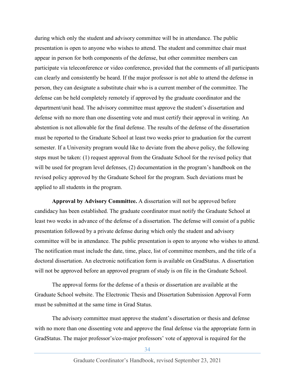during which only the student and advisory committee will be in attendance. The public presentation is open to anyone who wishes to attend. The student and committee chair must appear in person for both components of the defense, but other committee members can participate via teleconference or video conference, provided that the comments of all participants can clearly and consistently be heard. If the major professor is not able to attend the defense in person, they can designate a substitute chair who is a current member of the committee. The defense can be held completely remotely if approved by the graduate coordinator and the department/unit head. The advisory committee must approve the student's dissertation and defense with no more than one dissenting vote and must certify their approval in writing. An abstention is not allowable for the final defense. The results of the defense of the dissertation must be reported to the Graduate School at least two weeks prior to graduation for the current semester. If a University program would like to deviate from the above policy, the following steps must be taken: (1) request approval from the Graduate School for the revised policy that will be used for program level defenses, (2) documentation in the program's handbook on the revised policy approved by the Graduate School for the program. Such deviations must be applied to all students in the program.

<span id="page-33-0"></span>**Approval by Advisory Committee.** A dissertation will not be approved before candidacy has been established. The graduate coordinator must notify the Graduate School at least two weeks in advance of the defense of a dissertation. The defense will consist of a public presentation followed by a private defense during which only the student and advisory committee will be in attendance. The public presentation is open to anyone who wishes to attend. The notification must include the date, time, place, list of committee members, and the title of a doctoral dissertation. An electronic notification form is available on GradStatus. A dissertation will not be approved before an approved program of study is on file in the Graduate School.

The approval forms for the defense of a thesis or dissertation are available at the Graduate School website. The Electronic Thesis and Dissertation Submission Approval Form must be submitted at the same time in Grad Status.

The advisory committee must approve the student's dissertation or thesis and defense with no more than one dissenting vote and approve the final defense via the appropriate form in GradStatus. The major professor's/co-major professors' vote of approval is required for the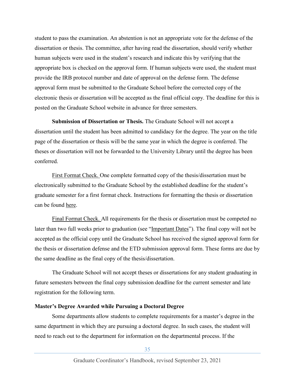student to pass the examination. An abstention is not an appropriate vote for the defense of the dissertation or thesis. The committee, after having read the dissertation, should verify whether human subjects were used in the student's research and indicate this by verifying that the appropriate box is checked on the approval form. If human subjects were used, the student must provide the IRB protocol number and date of approval on the defense form. The defense approval form must be submitted to the Graduate School before the corrected copy of the electronic thesis or dissertation will be accepted as the final official copy. The deadline for this is posted on the Graduate School website in advance for three semesters.

**Submission of Dissertation or Thesis.** The Graduate School will not accept a dissertation until the student has been admitted to candidacy for the degree. The year on the title page of the dissertation or thesis will be the same year in which the degree is conferred. The theses or dissertation will not be forwarded to the University Library until the degree has been conferred.

First Format Check. One complete formatted copy of the thesis/dissertation must be electronically submitted to the Graduate School by the established deadline for the student's graduate semester for a first format check. Instructions for formatting the thesis or dissertation can be found [here.](https://grad.uga.edu/index.php/current-students/policies-procedures/theses-dissertations-guidelines/theses-and-dissertations-overview/)

Final Format Check. All requirements for the thesis or dissertation must be competed no later than two full weeks prior to graduation (see ["Important Dates"](http://grad.uga.edu/index.php/current-students/important-dates-deadlines/)). The final copy will not be accepted as the official copy until the Graduate School has received the signed approval form for the thesis or dissertation defense and the ETD submission approval form. These forms are due by the same deadline as the final copy of the thesis/dissertation.

The Graduate School will not accept theses or dissertations for any student graduating in future semesters between the final copy submission deadline for the current semester and late registration for the following term.

#### <span id="page-34-0"></span>**Master's Degree Awarded while Pursuing a Doctoral Degree**

Some departments allow students to complete requirements for a master's degree in the same department in which they are pursuing a doctoral degree. In such cases, the student will need to reach out to the department for information on the departmental process. If the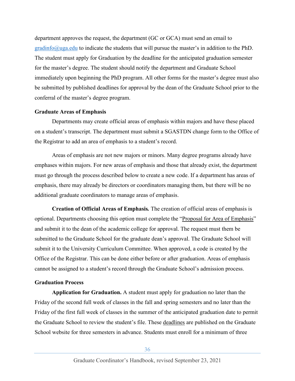department approves the request, the department (GC or GCA) must send an email to  $gradinfo(\partial_0)$  to indicate the students that will pursue the master's in addition to the PhD. The student must apply for Graduation by the deadline for the anticipated graduation semester for the master's degree. The student should notify the department and Graduate School immediately upon beginning the PhD program. All other forms for the master's degree must also be submitted by published deadlines for approval by the dean of the Graduate School prior to the conferral of the master's degree program.

#### <span id="page-35-0"></span>**Graduate Areas of Emphasis**

Departments may create official areas of emphasis within majors and have these placed on a student's transcript. The department must submit a SGASTDN change form to the Office of the Registrar to add an area of emphasis to a student's record.

Areas of emphasis are not new majors or minors. Many degree programs already have emphases within majors. For new areas of emphasis and those that already exist, the department must go through the process described below to create a new code. If a department has areas of emphasis, there may already be directors or coordinators managing them, but there will be no additional graduate coordinators to manage areas of emphasis.

**Creation of Official Areas of Emphasis***.* The creation of official areas of emphasis is optional. Departments choosing this option must complete the ["Proposal for Area of Emphasis"](https://reg.uga.edu/faculty-governance/academic-affairs-policies/#row5) and submit it to the dean of the academic college for approval. The request must them be submitted to the Graduate School for the graduate dean's approval. The Graduate School will submit it to the University Curriculum Committee. When approved, a code is created by the Office of the Registrar. This can be done either before or after graduation. Areas of emphasis cannot be assigned to a student's record through the Graduate School's admission process.

#### <span id="page-35-1"></span>**Graduation Process**

**Application for Graduation.** A student must apply for graduation no later than the Friday of the second full week of classes in the fall and spring semesters and no later than the Friday of the first full week of classes in the summer of the anticipated graduation date to permit the Graduate School to review the student's file. These [deadlines](http://grad.uga.edu/index.php/current-students/important-dates-deadlines/) are published on the Graduate School website for three semesters in advance. Students must enroll for a minimum of three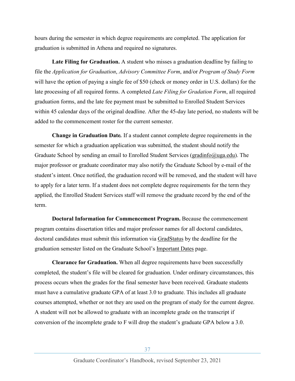hours during the semester in which degree requirements are completed. The application for graduation is submitted in Athena and required no signatures.

**Late Filing for Graduation.** A student who misses a graduation deadline by failing to file the *Application for Graduation*, *Advisory Committee Form*, and/or *Program of Study Form* will have the option of paying a single fee of \$50 (check or money order in U.S. dollars) for the late processing of all required forms. A completed *Late Filing for Gradation Form*, all required graduation forms, and the late fee payment must be submitted to Enrolled Student Services within 45 calendar days of the original deadline. After the 45-day late period, no students will be added to the commencement roster for the current semester.

**Change in Graduation Date***.* If a student cannot complete degree requirements in the semester for which a graduation application was submitted, the student should notify the Graduate School by sending an email to Enrolled Student Services [\(gradinfo@uga.edu\)](mailto:gradinfo@uga.edu). The major professor or graduate coordinator may also notify the Graduate School by e-mail of the student's intent. Once notified, the graduation record will be removed, and the student will have to apply for a later term. If a student does not complete degree requirements for the term they applied, the Enrolled Student Services staff will remove the graduate record by the end of the term.

**Doctoral Information for Commencement Program.** Because the commencement program contains dissertation titles and major professor names for all doctoral candidates, doctoral candidates must submit this information via [GradStatus](https://gradstatus.uga.edu/Forms/G120) by the deadline for the graduation semester listed on the Graduate School's [Important Dates](http://grad.uga.edu/index.php/current-students/important-dates-deadlines/) page.

**Clearance for Graduation.** When all degree requirements have been successfully completed, the student's file will be cleared for graduation. Under ordinary circumstances, this process occurs when the grades for the final semester have been received. Graduate students must have a cumulative graduate GPA of at least 3.0 to graduate. This includes all graduate courses attempted, whether or not they are used on the program of study for the current degree. A student will not be allowed to graduate with an incomplete grade on the transcript if conversion of the incomplete grade to F will drop the student's graduate GPA below a 3.0.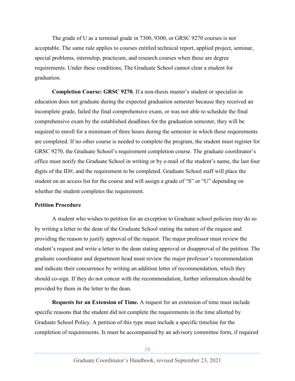The grade of U as a terminal grade in 7300, 9300, or GRSC 9270 courses is not acceptable. The same rule applies to courses entitled technical report, applied project, seminar, special problems, internship, practicum, and research courses when these are degree requirements. Under these conditions, The Graduate School cannot clear a student for graduation.

**Completion Course: GRSC 9270***.* If a non-thesis master's student or specialist in education does not graduate during the expected graduation semester because they received an incomplete grade, failed the final comprehensive exam, or was not able to schedule the final comprehensive exam by the established deadlines for the graduation semester, they will be required to enroll for a minimum of three hours during the semester in which these requirements are completed. If no other course is needed to complete the program, the student must register for GRSC 9270, the Graduate School's requirement completion course. The graduate coordinator's office must notify the Graduate School in writing or by e-mail of the student's name, the last four digits of the ID#, and the requirement to be completed. Graduate School staff will place the student on an access list for the course and will assign a grade of "S" or "U" depending on whether the student completes the requirement.

## **Petition Procedure**

A student who wishes to petition for an exception to Graduate school policies may do so by writing a letter to the dean of the Graduate School stating the nature of the request and providing the reason to justify approval of the request. The major professor must review the student's request and write a letter to the dean stating approval or disapproval of the petition. The graduate coordinator and department head must review the major professor's recommendation and indicate their concurrence by writing an addition letter of recommendation, which they should co-sign. If they do not concur with the recommendation, further information should be provided by them in the letter to the dean.

**Requests for an Extension of Time.** A request for an extension of time must include specific reasons that the student did not complete the requirements in the time allotted by Graduate School Policy. A petition of this type must include a specific timeline for the completion of requirements. Is must be accompanied by an advisory committee form, if required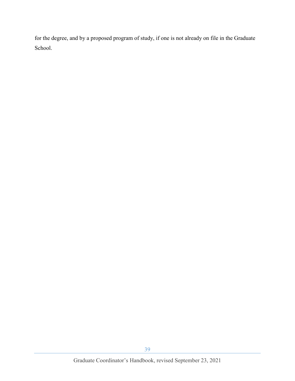for the degree, and by a proposed program of study, if one is not already on file in the Graduate School.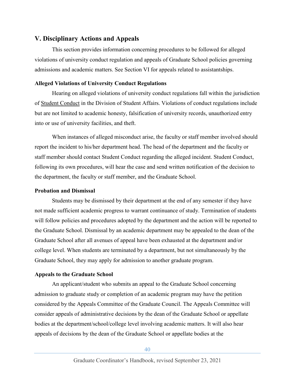# <span id="page-39-0"></span>**V. Disciplinary Actions and Appeals**

This section provides information concerning procedures to be followed for alleged violations of university conduct regulation and appeals of Graduate School policies governing admissions and academic matters. See Section VI for appeals related to assistantships.

## <span id="page-39-1"></span>**Alleged Violations of University Conduct Regulations**

Hearing on alleged violations of university conduct regulations fall within the jurisdiction of [Student Conduct](https://conduct.uga.edu/) in the Division of Student Affairs. Violations of conduct regulations include but are not limited to academic honesty, falsification of university records, unauthorized entry into or use of university facilities, and theft.

When instances of alleged misconduct arise, the faculty or staff member involved should report the incident to his/her department head. The head of the department and the faculty or staff member should contact Student Conduct regarding the alleged incident. Student Conduct, following its own procedures, will hear the case and send written notification of the decision to the department, the faculty or staff member, and the Graduate School.

## <span id="page-39-2"></span>**Probation and Dismissal**

Students may be dismissed by their department at the end of any semester if they have not made sufficient academic progress to warrant continuance of study. Termination of students will follow policies and procedures adopted by the department and the action will be reported to the Graduate School. Dismissal by an academic department may be appealed to the dean of the Graduate School after all avenues of appeal have been exhausted at the department and/or college level. When students are terminated by a department, but not simultaneously by the Graduate School, they may apply for admission to another graduate program.

# <span id="page-39-3"></span>**Appeals to the Graduate School**

An applicant/student who submits an appeal to the Graduate School concerning admission to graduate study or completion of an academic program may have the petition considered by the Appeals Committee of the Graduate Council. The Appeals Committee will consider appeals of administrative decisions by the dean of the Graduate School or appellate bodies at the department/school/college level involving academic matters. It will also hear appeals of decisions by the dean of the Graduate School or appellate bodies at the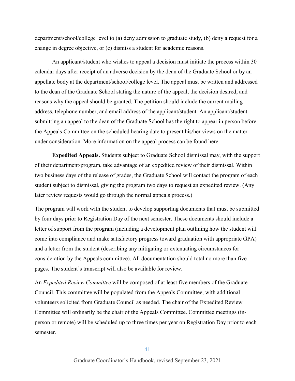department/school/college level to (a) deny admission to graduate study, (b) deny a request for a change in degree objective, or (c) dismiss a student for academic reasons.

An applicant/student who wishes to appeal a decision must initiate the process within 30 calendar days after receipt of an adverse decision by the dean of the Graduate School or by an appellate body at the department/school/college level. The appeal must be written and addressed to the dean of the Graduate School stating the nature of the appeal, the decision desired, and reasons why the appeal should be granted. The petition should include the current mailing address, telephone number, and email address of the applicant/student. An applicant/student submitting an appeal to the dean of the Graduate School has the right to appear in person before the Appeals Committee on the scheduled hearing date to present his/her views on the matter under consideration. More information on the appeal process can be found [here.](https://grad.uga.edu/index.php/current-students/policies-procedures/academics/appeals/)

**Expedited Appeals.** Students subject to Graduate School dismissal may, with the support of their department/program, take advantage of an expedited review of their dismissal. Within two business days of the release of grades, the Graduate School will contact the program of each student subject to dismissal, giving the program two days to request an expedited review. (Any later review requests would go through the normal appeals process.)

The program will work with the student to develop supporting documents that must be submitted by four days prior to Registration Day of the next semester. These documents should include a letter of support from the program (including a development plan outlining how the student will come into compliance and make satisfactory progress toward graduation with appropriate GPA) and a letter from the student (describing any mitigating or extenuating circumstances for consideration by the Appeals committee). All documentation should total no more than five pages. The student's transcript will also be available for review.

An *Expedited Review Committee* will be composed of at least five members of the Graduate Council. This committee will be populated from the Appeals Committee, with additional volunteers solicited from Graduate Council as needed. The chair of the Expedited Review Committee will ordinarily be the chair of the Appeals Committee. Committee meetings (inperson or remote) will be scheduled up to three times per year on Registration Day prior to each semester.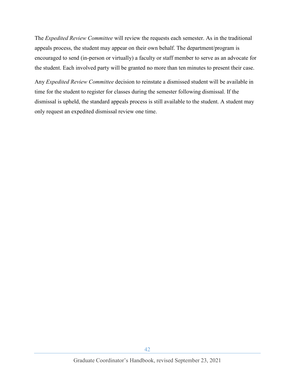The *Expedited Review Committee* will review the requests each semester. As in the traditional appeals process, the student may appear on their own behalf. The department/program is encouraged to send (in-person or virtually) a faculty or staff member to serve as an advocate for the student. Each involved party will be granted no more than ten minutes to present their case.

Any *Expedited Review Committee* decision to reinstate a dismissed student will be available in time for the student to register for classes during the semester following dismissal. If the dismissal is upheld, the standard appeals process is still available to the student. A student may only request an expedited dismissal review one time.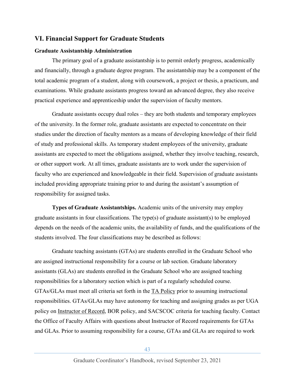# <span id="page-42-0"></span>**VI. Financial Support for Graduate Students**

## <span id="page-42-1"></span>**Graduate Assistantship Administration**

The primary goal of a graduate assistantship is to permit orderly progress, academically and financially, through a graduate degree program. The assistantship may be a component of the total academic program of a student, along with coursework, a project or thesis, a practicum, and examinations. While graduate assistants progress toward an advanced degree, they also receive practical experience and apprenticeship under the supervision of faculty mentors.

Graduate assistants occupy dual roles – they are both students and temporary employees of the university. In the former role, graduate assistants are expected to concentrate on their studies under the direction of faculty mentors as a means of developing knowledge of their field of study and professional skills. As temporary student employees of the university, graduate assistants are expected to meet the obligations assigned, whether they involve teaching, research, or other support work. At all times, graduate assistants are to work under the supervision of faculty who are experienced and knowledgeable in their field. Supervision of graduate assistants included providing appropriate training prior to and during the assistant's assumption of responsibility for assigned tasks.

**Types of Graduate Assistantships.** Academic units of the university may employ graduate assistants in four classifications. The type(s) of graduate assistant(s) to be employed depends on the needs of the academic units, the availability of funds, and the qualifications of the students involved. The four classifications may be described as follows:

Graduate teaching assistants (GTAs) are students enrolled in the Graduate School who are assigned instructional responsibility for a course or lab section. Graduate laboratory assistants (GLAs) are students enrolled in the Graduate School who are assigned teaching responsibilities for a laboratory section which is part of a regularly scheduled course. GTAs/GLAs must meet all criteria set forth in the [TA Policy](https://ctl.uga.edu/grad-student/ta-policy/ta_policy/) prior to assuming instructional responsibilities. GTAs/GLAs may have autonomy for teaching and assigning grades as per UGA policy on [Instructor of Record,](https://provost.uga.edu/faculty-affairs/instructor-of-record-credentialing/) BOR policy, and SACSCOC criteria for teaching faculty. Contact the Office of Faculty Affairs with questions about Instructor of Record requirements for GTAs and GLAs. Prior to assuming responsibility for a course, GTAs and GLAs are required to work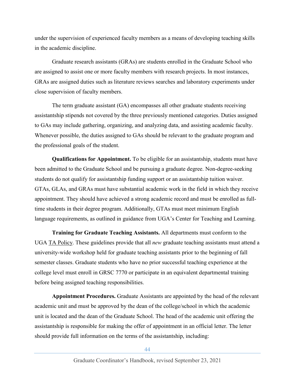under the supervision of experienced faculty members as a means of developing teaching skills in the academic discipline.

Graduate research assistants (GRAs) are students enrolled in the Graduate School who are assigned to assist one or more faculty members with research projects. In most instances, GRAs are assigned duties such as literature reviews searches and laboratory experiments under close supervision of faculty members.

The term graduate assistant (GA) encompasses all other graduate students receiving assistantship stipends not covered by the three previously mentioned categories. Duties assigned to GAs may include gathering, organizing, and analyzing data, and assisting academic faculty. Whenever possible, the duties assigned to GAs should be relevant to the graduate program and the professional goals of the student.

**Qualifications for Appointment.** To be eligible for an assistantship, students must have been admitted to the Graduate School and be pursuing a graduate degree. Non-degree-seeking students do not qualify for assistantship funding support or an assistantship tuition waiver. GTAs, GLAs, and GRAs must have substantial academic work in the field in which they receive appointment. They should have achieved a strong academic record and must be enrolled as fulltime students in their degree program. Additionally, GTAs must meet minimum English language requirements, as outlined in guidance from UGA's Center for Teaching and Learning.

**Training for Graduate Teaching Assistants.** All departments must conform to the UGA [TA Policy.](https://ctl.uga.edu/grad-student/ta-policy/) These guidelines provide that all *new* graduate teaching assistants must attend a university-wide workshop held for graduate teaching assistants prior to the beginning of fall semester classes. Graduate students who have no prior successful teaching experience at the college level must enroll in GRSC 7770 or participate in an equivalent departmental training before being assigned teaching responsibilities.

**Appointment Procedures.** Graduate Assistants are appointed by the head of the relevant academic unit and must be approved by the dean of the college/school in which the academic unit is located and the dean of the Graduate School. The head of the academic unit offering the assistantship is responsible for making the offer of appointment in an official letter. The letter should provide full information on the terms of the assistantship, including: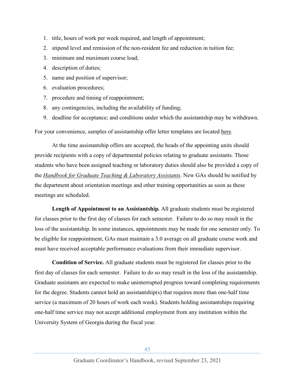- 1. title, hours of work per week required, and length of appointment;
- 2. stipend level and remission of the non-resident fee and reduction in tuition fee;
- 3. minimum and maximum course load;
- 4. description of duties;
- 5. name and position of supervisor;
- 6. evaluation procedures;
- 7. procedure and timing of reappointment;
- 8. any contingencies, including the availability of funding;
- 9. deadline for acceptance; and conditions under which the assistantship may be withdrawn.

For your convenience, samples of assistantship offer letter templates are located [here.](https://grad.uga.edu/index.php/faculty-and-staff/assistantship-templates/)

At the time assistantship offers are accepted, the heads of the appointing units should provide recipients with a copy of departmental policies relating to graduate assistants. Those students who have been assigned teaching or laboratory duties should also be provided a copy of the *[Handbook for Graduate Teaching & Laboratory Assistants](https://ctl.uga.edu/grad-student/resources-and-ta-handbook/)*. New GAs should be notified by the department about orientation meetings and other training opportunities as soon as these meetings are scheduled.

**Length of Appointment to an Assistantship***.* All graduate students must be registered for classes prior to the first day of classes for each semester. Failure to do so may result in the loss of the assistantship. In some instances, appointments may be made for one semester only. To be eligible for reappointment, GAs must maintain a 3.0 average on all graduate course work and must have received acceptable performance evaluations from their immediate supervisor.

**Condition of Service.** All graduate students must be registered for classes prior to the first day of classes for each semester. Failure to do so may result in the loss of the assistantship. Graduate assistants are expected to make uninterrupted progress toward completing requirements for the degree. Students cannot hold an assistantship(s) that requires more than one-half time service (a maximum of 20 hours of work each week). Students holding assistantships requiring one-half time service may not accept additional employment from any institution within the University System of Georgia during the fiscal year.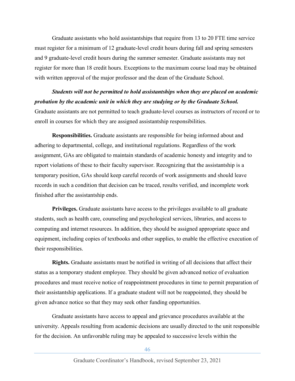Graduate assistants who hold assistantships that require from 13 to 20 FTE time service must register for a minimum of 12 graduate-level credit hours during fall and spring semesters and 9 graduate-level credit hours during the summer semester. Graduate assistants may not register for more than 18 credit hours. Exceptions to the maximum course load may be obtained with written approval of the major professor and the dean of the Graduate School.

*Students will not be permitted to hold assistantships when they are placed on academic probation by the academic unit in which they are studying or by the Graduate School.*  Graduate assistants are not permitted to teach graduate-level courses as instructors of record or to enroll in courses for which they are assigned assistantship responsibilities.

**Responsibilities.** Graduate assistants are responsible for being informed about and adhering to departmental, college, and institutional regulations. Regardless of the work assignment, GAs are obligated to maintain standards of academic honesty and integrity and to report violations of these to their faculty supervisor. Recognizing that the assistantship is a temporary position, GAs should keep careful records of work assignments and should leave records in such a condition that decision can be traced, results verified, and incomplete work finished after the assistantship ends.

**Privileges.** Graduate assistants have access to the privileges available to all graduate students, such as health care, counseling and psychological services, libraries, and access to computing and internet resources. In addition, they should be assigned appropriate space and equipment, including copies of textbooks and other supplies, to enable the effective execution of their responsibilities.

**Rights.** Graduate assistants must be notified in writing of all decisions that affect their status as a temporary student employee. They should be given advanced notice of evaluation procedures and must receive notice of reappointment procedures in time to permit preparation of their assistantship applications. If a graduate student will not be reappointed, they should be given advance notice so that they may seek other funding opportunities.

Graduate assistants have access to appeal and grievance procedures available at the university. Appeals resulting from academic decisions are usually directed to the unit responsible for the decision. An unfavorable ruling may be appealed to successive levels within the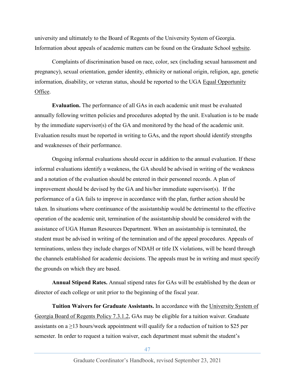university and ultimately to the Board of Regents of the University System of Georgia. Information about appeals of academic matters can be found on the Graduate School [website.](http://grad.uga.edu/index.php/current-students/policies-procedures/academics/appeals/)

Complaints of discrimination based on race, color, sex (including sexual harassment and pregnancy), sexual orientation, gender identity, ethnicity or national origin, religion, age, genetic information, disability, or veteran status, should be reported to the UGA [Equal Opportunity](https://eoo.uga.edu/) [Office.](https://eoo.uga.edu/)

**Evaluation.** The performance of all GAs in each academic unit must be evaluated annually following written policies and procedures adopted by the unit. Evaluation is to be made by the immediate supervisor(s) of the GA and monitored by the head of the academic unit. Evaluation results must be reported in writing to GAs, and the report should identify strengths and weaknesses of their performance.

Ongoing informal evaluations should occur in addition to the annual evaluation. If these informal evaluations identify a weakness, the GA should be advised in writing of the weakness and a notation of the evaluation should be entered in their personnel records. A plan of improvement should be devised by the GA and his/her immediate supervisor(s). If the performance of a GA fails to improve in accordance with the plan, further action should be taken. In situations where continuance of the assistantship would be detrimental to the effective operation of the academic unit, termination of the assistantship should be considered with the assistance of UGA Human Resources Department. When an assistantship is terminated, the student must be advised in writing of the termination and of the appeal procedures. Appeals of terminations, unless they include charges of NDAH or title IX violations, will be heard through the channels established for academic decisions. The appeals must be in writing and must specify the grounds on which they are based.

**Annual Stipend Rates.** Annual stipend rates for GAs will be established by the dean or director of each college or unit prior to the beginning of the fiscal year.

**Tuition Waivers for Graduate Assistants.** In accordance with the [University System of](http://www.usg.edu/policymanual/section7/C453/)  [Georgia Board of Regents Policy 7.3.1.2,](http://www.usg.edu/policymanual/section7/C453/) GAs may be eligible for a tuition waiver. Graduate assistants on a  $\geq$ 13 hours/week appointment will qualify for a reduction of tuition to \$25 per semester. In order to request a tuition waiver, each department must submit the student's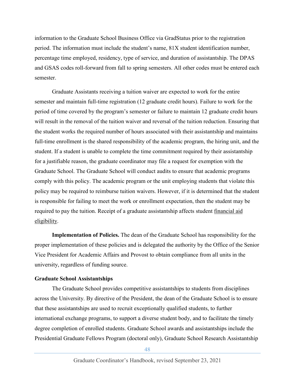information to the Graduate School Business Office via GradStatus prior to the registration period. The information must include the student's name, 81X student identification number, percentage time employed, residency, type of service, and duration of assistantship. The DPAS and GSAS codes roll-forward from fall to spring semesters. All other codes must be entered each semester.

Graduate Assistants receiving a tuition waiver are expected to work for the entire semester and maintain full-time registration (12 graduate credit hours). Failure to work for the period of time covered by the program's semester or failure to maintain 12 graduate credit hours will result in the removal of the tuition waiver and reversal of the tuition reduction. Ensuring that the student works the required number of hours associated with their assistantship and maintains full-time enrollment is the shared responsibility of the academic program, the hiring unit, and the student. If a student is unable to complete the time commitment required by their assistantship for a justifiable reason, the graduate coordinator may file a request for exemption with the Graduate School. The Graduate School will conduct audits to ensure that academic programs comply with this policy. The academic program or the unit employing students that violate this policy may be required to reimburse tuition waivers. However, if it is determined that the student is responsible for failing to meet the work or enrollment expectation, then the student may be required to pay the tuition. Receipt of a graduate assistantship affects student [financial aid](http://osfa.uga.edu/gradinfo.html)  [eligibility.](http://osfa.uga.edu/gradinfo.html)

**Implementation of Policies.** The dean of the Graduate School has responsibility for the proper implementation of these policies and is delegated the authority by the Office of the Senior Vice President for Academic Affairs and Provost to obtain compliance from all units in the university, regardless of funding source.

#### <span id="page-47-0"></span>**Graduate School Assistantships**

The Graduate School provides competitive assistantships to students from disciplines across the University. By directive of the President, the dean of the Graduate School is to ensure that these assistantships are used to recruit exceptionally qualified students, to further international exchange programs, to support a diverse student body, and to facilitate the timely degree completion of enrolled students. Graduate School awards and assistantships include the Presidential Graduate Fellows Program (doctoral only), Graduate School Research Assistantship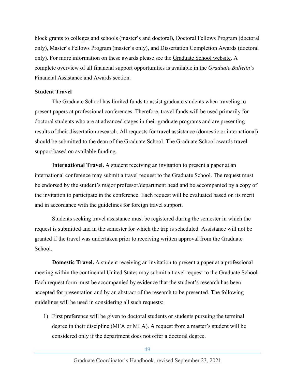block grants to colleges and schools (master's and doctoral), Doctoral Fellows Program (doctoral only), Master's Fellows Program (master's only), and Dissertation Completion Awards (doctoral only). For more information on these awards please see the [Graduate School website.](https://grad.uga.edu/index.php/current-students/financial-information/graduate-school-based-financial-assistance/funding-from-graduate-school/) A complete overview of all financial support opportunities is available in the *Graduate Bulletin's* Financial Assistance and Awards section.

## <span id="page-48-0"></span>**Student Travel**

The Graduate School has limited funds to assist graduate students when traveling to present papers at professional conferences. Therefore, travel funds will be used primarily for doctoral students who are at advanced stages in their graduate programs and are presenting results of their dissertation research. All requests for travel assistance (domestic or international) should be submitted to the dean of the Graduate School. The Graduate School awards travel support based on available funding.

**International Travel.** A student receiving an invitation to present a paper at an international conference may submit a travel request to the Graduate School. The request must be endorsed by the student's major professor/department head and be accompanied by a copy of the invitation to participate in the conference. Each request will be evaluated based on its merit and in accordance with the guidelines for foreign travel support.

Students seeking travel assistance must be registered during the semester in which the request is submitted and in the semester for which the trip is scheduled. Assistance will not be granted if the travel was undertaken prior to receiving written approval from the Graduate School.

**Domestic Travel.** A student receiving an invitation to present a paper at a professional meeting within the continental United States may submit a travel request to the Graduate School. Each request form must be accompanied by evidence that the student's research has been accepted for presentation and by an abstract of the research to be presented. The following [guidelines](http://grad.uga.edu/index.php/current-students/financial-information/travel-funding/) will be used in considering all such requests:

1) First preference will be given to doctoral students or students pursuing the terminal degree in their discipline (MFA or MLA). A request from a master's student will be considered only if the department does not offer a doctoral degree.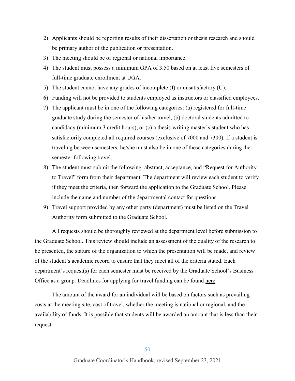- 2) Applicants should be reporting results of their dissertation or thesis research and should be primary author of the publication or presentation.
- 3) The meeting should be of regional or national importance.
- 4) The student must possess a minimum GPA of 3.50 based on at least five semesters of full-time graduate enrollment at UGA.
- 5) The student cannot have any grades of incomplete  $(I)$  or unsatisfactory  $(U)$ .
- 6) Funding will not be provided to students employed as instructors or classified employees.
- 7) The applicant must be in one of the following categories: (a) registered for full-time graduate study during the semester of his/her travel, (b) doctoral students admitted to candidacy (minimum 3 credit hours), or (c) a thesis-writing master's student who has satisfactorily completed all required courses (exclusive of 7000 and 7300). If a student is traveling between semesters, he/she must also be in one of these categories during the semester following travel.
- 8) The student must submit the following: abstract, acceptance, and "Request for Authority to Travel" form from their department. The department will review each student to verify if they meet the criteria, then forward the application to the Graduate School. Please include the name and number of the departmental contact for questions.
- 9) Travel support provided by any other party (department) must be listed on the Travel Authority form submitted to the Graduate School.

All requests should be thoroughly reviewed at the department level before submission to the Graduate School. This review should include an assessment of the quality of the research to be presented, the stature of the organization to which the presentation will be made, and review of the student's academic record to ensure that they meet all of the criteria stated. Each department's request(s) for each semester must be received by the Graduate School's Business Office as a group. Deadlines for applying for travel funding can be found [here.](http://grad.uga.edu/index.php/current-students/financial-information/travel-funding/)

The amount of the award for an individual will be based on factors such as prevailing costs at the meeting site, cost of travel, whether the meeting is national or regional, and the availability of funds. It is possible that students will be awarded an amount that is less than their request.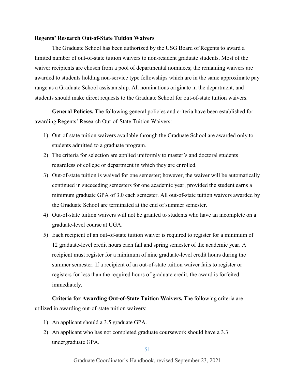#### <span id="page-50-0"></span>**Regents' Research Out-of-State Tuition Waivers**

The Graduate School has been authorized by the USG Board of Regents to award a limited number of out-of-state tuition waivers to non-resident graduate students. Most of the waiver recipients are chosen from a pool of departmental nominees; the remaining waivers are awarded to students holding non-service type fellowships which are in the same approximate pay range as a Graduate School assistantship. All nominations originate in the department, and students should make direct requests to the Graduate School for out-of-state tuition waivers.

**General Policies.** The following general policies and criteria have been established for awarding Regents' Research Out-of-State Tuition Waivers:

- 1) Out-of-state tuition waivers available through the Graduate School are awarded only to students admitted to a graduate program.
- 2) The criteria for selection are applied uniformly to master's and doctoral students regardless of college or department in which they are enrolled.
- 3) Out-of-state tuition is waived for one semester; however, the waiver will be automatically continued in succeeding semesters for one academic year, provided the student earns a minimum graduate GPA of 3.0 each semester. All out-of-state tuition waivers awarded by the Graduate School are terminated at the end of summer semester.
- 4) Out-of-state tuition waivers will not be granted to students who have an incomplete on a graduate-level course at UGA.
- 5) Each recipient of an out-of-state tuition waiver is required to register for a minimum of 12 graduate-level credit hours each fall and spring semester of the academic year. A recipient must register for a minimum of nine graduate-level credit hours during the summer semester. If a recipient of an out-of-state tuition waiver fails to register or registers for less than the required hours of graduate credit, the award is forfeited immediately.

**Criteria for Awarding Out-of-State Tuition Waivers.** The following criteria are utilized in awarding out-of-state tuition waivers:

- 1) An applicant should a 3.5 graduate GPA.
- 2) An applicant who has not completed graduate coursework should have a 3.3 undergraduate GPA.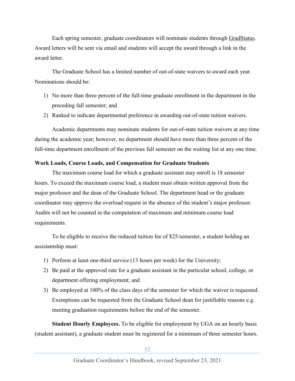Each spring semester, graduate coordinators will nominate students through [GradStatus.](https://gradstatus.uga.edu/) Award letters will be sent via email and students will accept the award through a link in the award letter.

The Graduate School has a limited number of out-of-state waivers to award each year. Nominations should be:

- 1) No more than three percent of the full-time graduate enrollment in the department in the preceding fall semester; and
- 2) Ranked to indicate departmental preference in awarding out-of-state tuition waivers.

Academic departments may nominate students for out-of-state tuition waivers at any time during the academic year; however, no department should have more than three percent of the full-time department enrollment of the previous fall semester on the waiting list at any one time.

## <span id="page-51-0"></span>**Work Loads, Course Loads, and Compensation for Graduate Students**

The maximum course load for which a graduate assistant may enroll is 18 semester hours. To exceed the maximum course load, a student must obtain written approval from the major professor and the dean of the Graduate School. The department head or the graduate coordinator may approve the overload request in the absence of the student's major professor. Audits will not be counted in the computation of maximum and minimum course load requirements.

To be eligible to receive the reduced tuition fee of \$25/semester, a student holding an assistantship must:

- 1) Perform at least one-third service (13 hours per week) for the University;
- 2) Be paid at the approved rate for a graduate assistant in the particular school, college, or department offering employment; and
- 3) Be employed at 100% of the class days of the semester for which the waiver is requested. Exemptions can be requested from the Graduate School dean for justifiable reasons e.g. meeting graduation requirements before the end of the semester.

**Student Hourly Employees.** To be eligible for employment by UGA on an hourly basis (student assistant), a graduate student must be registered for a minimum of three semester hours.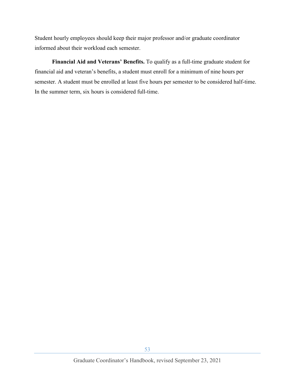Student hourly employees should keep their major professor and/or graduate coordinator informed about their workload each semester.

**Financial Aid and Veterans' Benefits.** To qualify as a full-time graduate student for financial aid and veteran's benefits, a student must enroll for a minimum of nine hours per semester. A student must be enrolled at least five hours per semester to be considered half-time. In the summer term, six hours is considered full-time.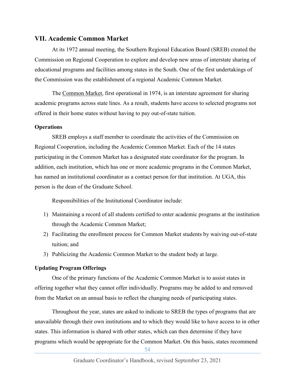## <span id="page-53-0"></span>**VII. Academic Common Market**

At its 1972 annual meeting, the Southern Regional Education Board (SREB) created the Commission on Regional Cooperation to explore and develop new areas of interstate sharing of educational programs and facilities among states in the South. One of the first undertakings of the Commission was the establishment of a regional Academic Common Market.

The [Common Market,](https://www.sreb.org/academic-common-market) first operational in 1974, is an interstate agreement for sharing academic programs across state lines. As a result, students have access to selected programs not offered in their home states without having to pay out-of-state tuition.

#### <span id="page-53-1"></span>**Operations**

SREB employs a staff member to coordinate the activities of the Commission on Regional Cooperation, including the Academic Common Market. Each of the 14 states participating in the Common Market has a designated state coordinator for the program. In addition, each institution, which has one or more academic programs in the Common Market, has named an institutional coordinator as a contact person for that institution. At UGA, this person is the dean of the Graduate School.

Responsibilities of the Institutional Coordinator include:

- 1) Maintaining a record of all students certified to enter academic programs at the institution through the Academic Common Market;
- 2) Facilitating the enrollment process for Common Market students by waiving out-of-state tuition; and
- 3) Publicizing the Academic Common Market to the student body at large.

## <span id="page-53-2"></span>**Updating Program Offerings**

One of the primary functions of the Academic Common Market is to assist states in offering together what they cannot offer individually. Programs may be added to and removed from the Market on an annual basis to reflect the changing needs of participating states.

Throughout the year, states are asked to indicate to SREB the types of programs that are unavailable through their own institutions and to which they would like to have access to in other states. This information is shared with other states, which can then determine if they have programs which would be appropriate for the Common Market. On this basis, states recommend